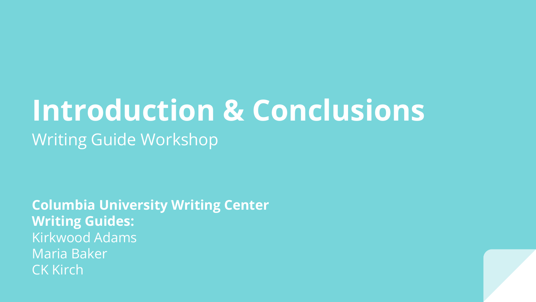# **Introduction & Conclusions** Writing Guide Workshop

**Columbia University Writing Center Writing Guides:** Kirkwood Adams Maria Baker CK Kirch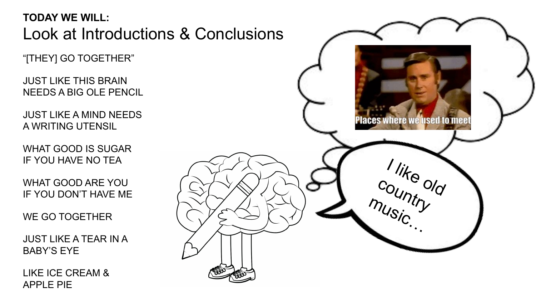#### **TODAY WE WILL:** Look at Introductions & Conclusions

"[THEY] GO TOGETHER"

JUST LIKE THIS BRAIN NEEDS A BIG OLE PENCIL

JUST LIKE A MIND NEEDS A WRITING UTENSIL

WHAT GOOD IS SUGAR IF YOU HAVE NO TEA

WHAT GOOD ARE YOU IF YOU DON'T HAVE ME

WE GO TOGETHER

JUST LIKE A TEAR IN A BABY'S EYE

LIKE ICE CREAM & APPLE PIE

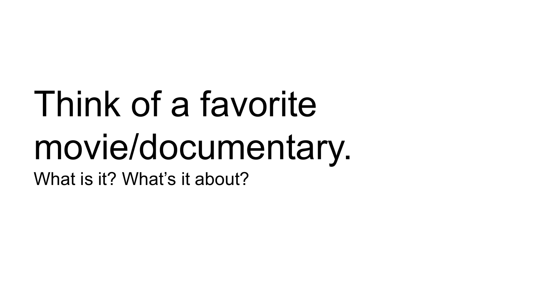# Think of a favorite movie/documentary.

What is it? What's it about?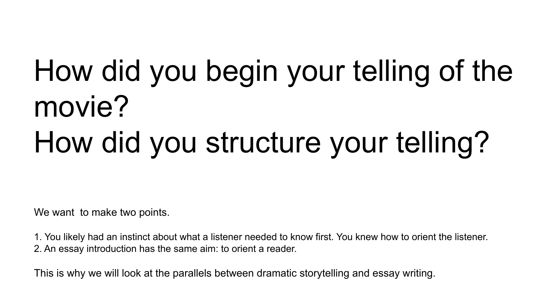# How did you begin your telling of the movie? How did you structure your telling?

We want to make two points.

1. You likely had an instinct about what a listener needed to know first. You knew how to orient the listener. 2. An essay introduction has the same aim: to orient a reader.

This is why we will look at the parallels between dramatic storytelling and essay writing.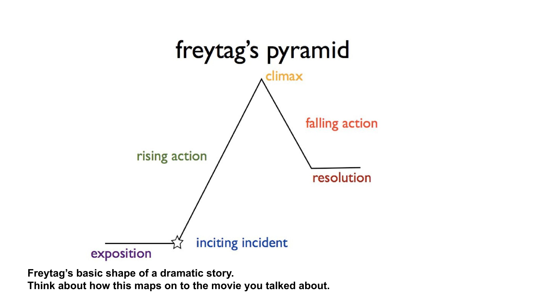

**Freytag's basic shape of a dramatic story. Think about how this maps on to the movie you talked about.**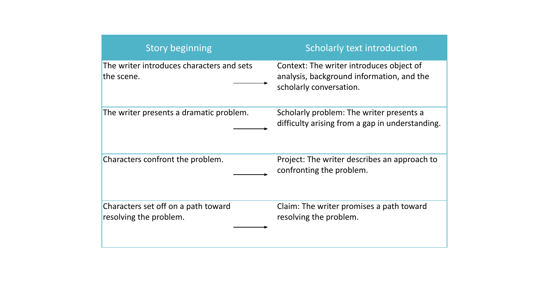| <b>Story beginning</b>                                        | Scholarly text introduction                                                                                      |
|---------------------------------------------------------------|------------------------------------------------------------------------------------------------------------------|
| The writer introduces characters and sets<br>the scene.       | Context: The writer introduces object of<br>analysis, background information, and the<br>scholarly conversation. |
| The writer presents a dramatic problem.                       | Scholarly problem: The writer presents a<br>difficulty arising from a gap in understanding.                      |
| Characters confront the problem.                              | Project: The writer describes an approach to<br>confronting the problem.                                         |
| Characters set off on a path toward<br>resolving the problem. | Claim: The writer promises a path toward<br>resolving the problem.                                               |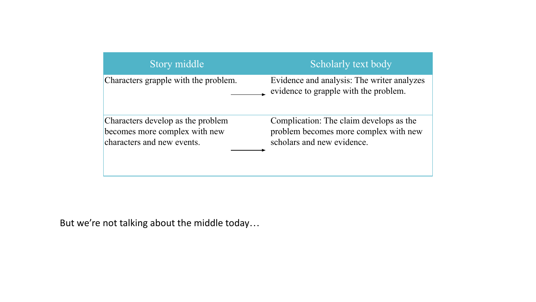| Story middle                                                                                     | Scholarly text body                                                                                            |
|--------------------------------------------------------------------------------------------------|----------------------------------------------------------------------------------------------------------------|
| Characters grapple with the problem.                                                             | Evidence and analysis: The writer analyzes<br>$\rightarrow$ evidence to grapple with the problem.              |
| Characters develop as the problem<br>becomes more complex with new<br>characters and new events. | Complication: The claim develops as the<br>problem becomes more complex with new<br>scholars and new evidence. |

But we're not talking about the middle today…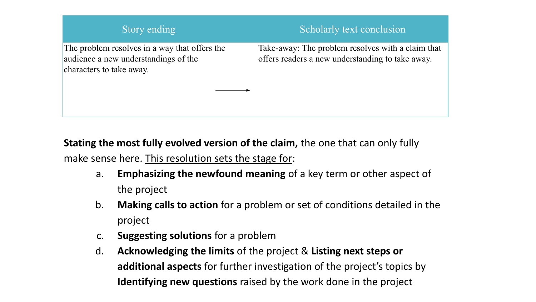The problem resolves in a way that offers the audience a new understandings of the characters to take away.

Story ending Story ending Scholarly text conclusion

Take-away: The problem resolves with a claim that offers readers a new understanding to take away.

**Stating the most fully evolved version of the claim,** the one that can only fully make sense here. This resolution sets the stage for:

- a. **Emphasizing the newfound meaning** of a key term or other aspect of the project
- b. **Making calls to action** for a problem or set of conditions detailed in the project
- c. **Suggesting solutions** for a problem
- d. **Acknowledging the limits** of the project & **Listing next steps or additional aspects** for further investigation of the project's topics by **Identifying new questions** raised by the work done in the project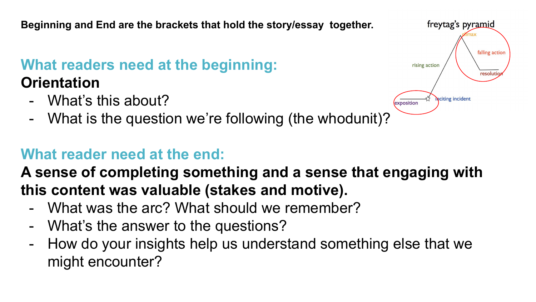**Beginning and End are the brackets that hold the story/essay together.**

#### **What readers need at the beginning: Orientation**

- What's this about?
- What is the question we're following (the whodunit)?

### **What reader need at the end:**

## **A sense of completing something and a sense that engaging with this content was valuable (stakes and motive).**

freytag's pyramid

**N**citing incident

rising action

exposition

falling action

resolutio

- What was the arc? What should we remember?
- What's the answer to the questions?
- How do your insights help us understand something else that we might encounter?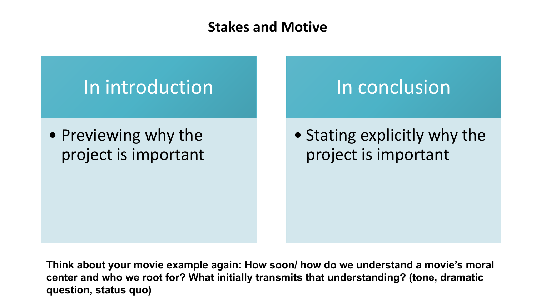#### **Stakes and Motive**

# In introduction

• Previewing why the project is important

# In conclusion

• Stating explicitly why the project is important

**Think about your movie example again: How soon/ how do we understand a movie's moral center and who we root for? What initially transmits that understanding? (tone, dramatic question, status quo)**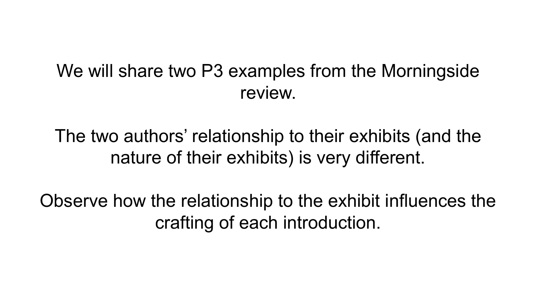## We will share two P3 examples from the Morningside review.

# The two authors' relationship to their exhibits (and the nature of their exhibits) is very different.

Observe how the relationship to the exhibit influences the crafting of each introduction.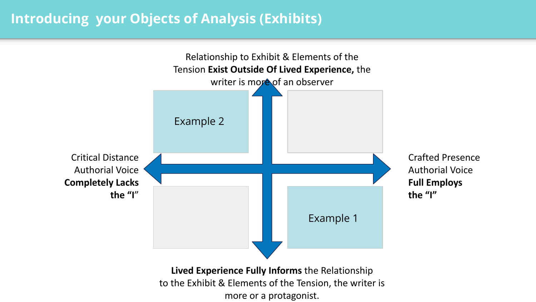#### **Introducing your Objects of Analysis (Exhibits)**



more or a protagonist.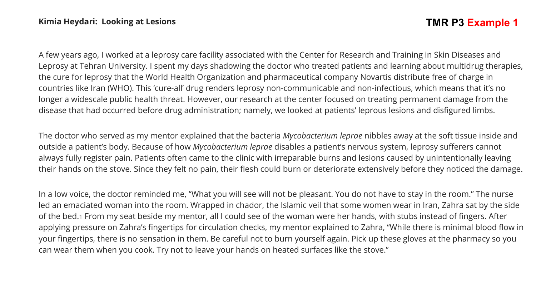A few years ago, I worked at a leprosy care facility associated with the Center for Research and Training in Skin Diseases and Leprosy at Tehran University. I spent my days shadowing the doctor who treated patients and learning about multidrug therapies, the cure for leprosy that the World Health Organization and pharmaceutical company Novartis distribute free of charge in countries like Iran (WHO). This 'cure-all' drug renders leprosy non-communicable and non-infectious, which means that it's no longer a widescale public health threat. However, our research at the center focused on treating permanent damage from the disease that had occurred before drug administration; namely, we looked at patients' leprous lesions and disfigured limbs.

The doctor who served as my mentor explained that the bacteria *Mycobacterium leprae* nibbles away at the soft tissue inside and outside a patient's body. Because of how *Mycobacterium leprae* disables a patient's nervous system, leprosy sufferers cannot always fully register pain. Patients often came to the clinic with irreparable burns and lesions caused by unintentionally leaving their hands on the stove. Since they felt no pain, their flesh could burn or deteriorate extensively before they noticed the damage.

In a low voice, the doctor reminded me, "What you will see will not be pleasant. You do not have to stay in the room." The nurse led an emaciated woman into the room. Wrapped in chador, the Islamic veil that some women wear in Iran, Zahra sat by the side of the bed.1 From my seat beside my mentor, all I could see of the woman were her hands, with stubs instead of fingers. After applying pressure on Zahra's fingertips for circulation checks, my mentor explained to Zahra, "While there is minimal blood flow in your fingertips, there is no sensation in them. Be careful not to burn yourself again. Pick up these gloves at the pharmacy so you can wear them when you cook. Try not to leave your hands on heated surfaces like the stove."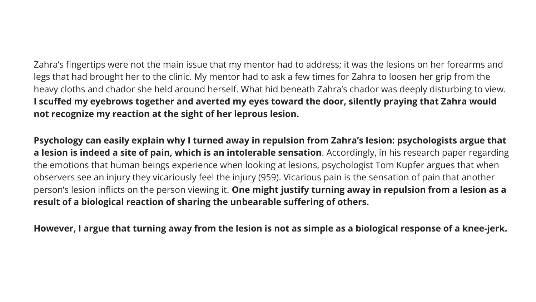Zahra's fingertips were not the main issue that my mentor had to address; it was the lesions on her forearms and legs that had brought her to the clinic. My mentor had to ask a few times for Zahra to loosen her grip from the heavy cloths and chador she held around herself. What hid beneath Zahra's chador was deeply disturbing to view. **I scuffed my eyebrows together and averted my eyes toward the door, silently praying that Zahra would not recognize my reaction at the sight of her leprous lesion.**

**Psychology can easily explain why I turned away in repulsion from Zahra's lesion: psychologists argue that a lesion is indeed a site of pain, which is an intolerable sensation**. Accordingly, in his research paper regarding the emotions that human beings experience when looking at lesions, psychologist Tom Kupfer argues that when observers see an injury they vicariously feel the injury (959). Vicarious pain is the sensation of pain that another person's lesion inflicts on the person viewing it. **One might justify turning away in repulsion from a lesion as a result of a biological reaction of sharing the unbearable suffering of others.**

**However, I argue that turning away from the lesion is not as simple as a biological response of a knee-jerk.**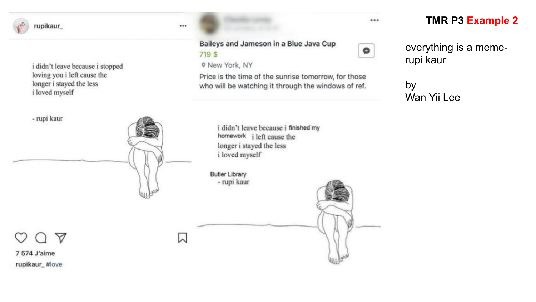#### rupikaur

 $\cdots$ 

i didn't leave because i stopped loving you i left cause the longer i stayed the less i loved myself

- rupi kaur

Baileys and Jameson in a Blue Java Cup

#### **719 \$**

® New York, NY

Price is the time of the sunrise tomorrow, for those who will be watching it through the windows of ref.

> i didn't leave because i finished my homework i left cause the longer i stayed the less i loved myself

7

7 574 J'aime rupikaur\_#love





 $...$ 

**TMR P3 Example 2**

everything is a memerupi kaur

by Wan Yii Lee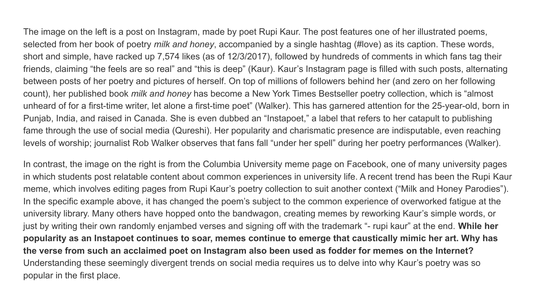The image on the left is a post on Instagram, made by poet Rupi Kaur. The post features one of her illustrated poems, selected from her book of poetry *milk and honey*, accompanied by a single hashtag (#love) as its caption. These words, short and simple, have racked up 7,574 likes (as of 12/3/2017), followed by hundreds of comments in which fans tag their friends, claiming "the feels are so real" and "this is deep" (Kaur). Kaur's Instagram page is filled with such posts, alternating between posts of her poetry and pictures of herself. On top of millions of followers behind her (and zero on her following count), her published book *milk and honey* has become a New York Times Bestseller poetry collection, which is "almost unheard of for a first-time writer, let alone a first-time poet" (Walker). This has garnered attention for the 25-year-old, born in Punjab, India, and raised in Canada. She is even dubbed an "Instapoet," a label that refers to her catapult to publishing fame through the use of social media (Qureshi). Her popularity and charismatic presence are indisputable, even reaching levels of worship; journalist Rob Walker observes that fans fall "under her spell" during her poetry performances (Walker).

In contrast, the image on the right is from the Columbia University meme page on Facebook, one of many university pages in which students post relatable content about common experiences in university life. A recent trend has been the Rupi Kaur meme, which involves editing pages from Rupi Kaur's poetry collection to suit another context ("Milk and Honey Parodies"). In the specific example above, it has changed the poem's subject to the common experience of overworked fatigue at the university library. Many others have hopped onto the bandwagon, creating memes by reworking Kaur's simple words, or just by writing their own randomly enjambed verses and signing off with the trademark "- rupi kaur" at the end. **While her popularity as an Instapoet continues to soar, memes continue to emerge that caustically mimic her art. Why has the verse from such an acclaimed poet on Instagram also been used as fodder for memes on the Internet?**  Understanding these seemingly divergent trends on social media requires us to delve into why Kaur's poetry was so popular in the first place.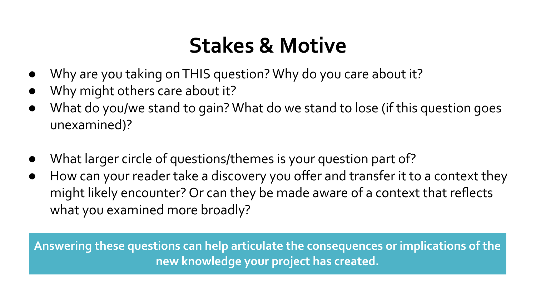# **Stakes & Motive**

- Why are you taking on THIS question? Why do you care about it?
- Why might others care about it?
- What do you/we stand to gain? What do we stand to lose (if this question goes unexamined)?
- What larger circle of questions/themes is your question part of?
- How can your reader take a discovery you offer and transfer it to a context they might likely encounter? Or can they be made aware of a context that reflects what you examined more broadly?

**Answering these questions can help articulate the consequences or implications of the new knowledge your project has created.**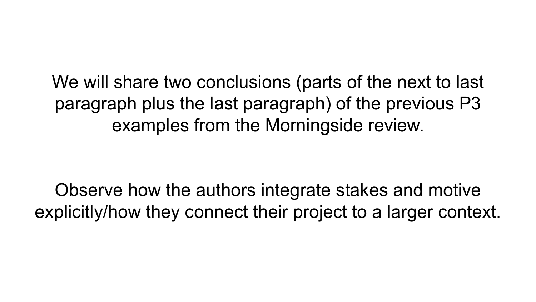We will share two conclusions (parts of the next to last paragraph plus the last paragraph) of the previous P3 examples from the Morningside review.

Observe how the authors integrate stakes and motive explicitly/how they connect their project to a larger context.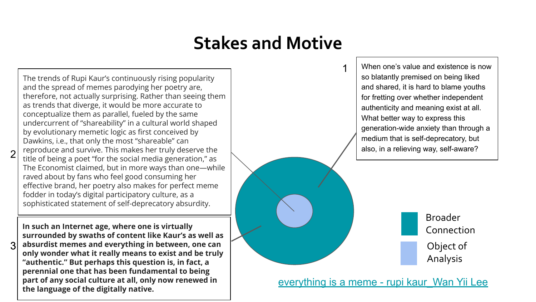# **Stakes and Motive**

The trends of Rupi Kaur's continuously rising popularity and the spread of memes parodying her poetry are, therefore, not actually surprising. Rather than seeing them as trends that diverge, it would be more accurate to conceptualize them as parallel, fueled by the same undercurrent of "shareability" in a cultural world shaped by evolutionary memetic logic as first conceived by Dawkins, i.e., that only the most "shareable" can reproduce and survive. This makes her truly deserve the title of being a poet "for the social media generation," as The Economist claimed, but in more ways than one—while raved about by fans who feel good consuming her effective brand, her poetry also makes for perfect meme fodder in today's digital participatory culture, as a sophisticated statement of self-deprecatory absurdity.

2

3

In such an Internet age, where one is virtually **In the Connection** Connection **surrounded by swaths of content like Kaur's as well as absurdist memes and everything in between, one can only wonder what it really means to exist and be truly "authentic." But perhaps this question is, in fact, a perennial one that has been fundamental to being part of any social culture at all, only now renewed in the language of the digitally native.**

When one's value and existence is now so blatantly premised on being liked and shared, it is hard to blame youths for fretting over whether independent authenticity and meaning exist at all. What better way to express this generation-wide anxiety than through a medium that is self-deprecatory, but also, in a relieving way, self-aware? 1



[everything is a meme - rupi kaur\\_Wan Yii Lee](https://journals.library.columbia.edu/index.php/TMR/article/view/3456)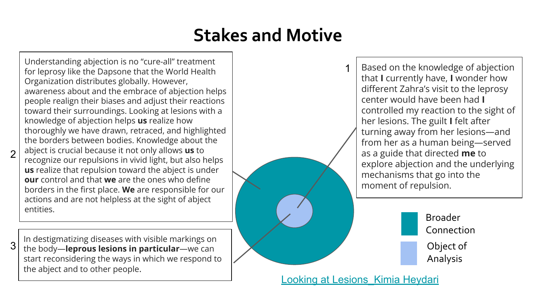# **Stakes and Motive**

Understanding abjection is no "cure-all" treatment for leprosy like the Dapsone that the World Health Organization distributes globally. However, awareness about and the embrace of abjection helps people realign their biases and adjust their reactions toward their surroundings. Looking at lesions with a knowledge of abjection helps **us** realize how thoroughly we have drawn, retraced, and highlighted the borders between bodies. Knowledge about the abject is crucial because it not only allows **us** to recognize our repulsions in vivid light, but also helps **us** realize that repulsion toward the abject is under **our** control and that **we** are the ones who define borders in the first place. **We** are responsible for our actions and are not helpless at the sight of abject entities.

In destigmatizing diseases with visible markings on the body—**leprous lesions in particular**—we can start reconsidering the ways in which we respond to the abject and to other people.

Based on the knowledge of abjection that **I** currently have, **I** wonder how different Zahra's visit to the leprosy center would have been had **I** controlled my reaction to the sight of her lesions. The guilt **I** felt after turning away from her lesions—and from her as a human being—served as a guide that directed **me** to explore abjection and the underlying mechanisms that go into the moment of repulsion.



[Looking at Lesions\\_Kimia Heydari](https://journals.library.columbia.edu/index.php/TMR/article/view/992)

1

2

3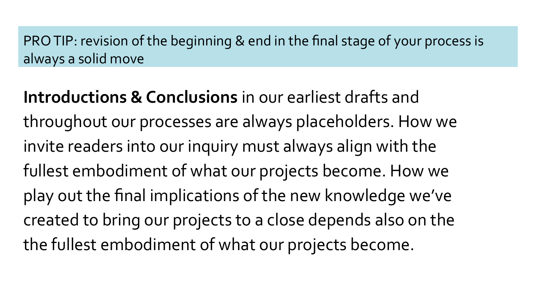#### PRO TIP: revision of the beginning & end in the final stage of your process is always a solid move

**Introductions & Conclusions** in our earliest drafts and throughout our processes are always placeholders. How we invite readers into our inquiry must always align with the fullest embodiment of what our projects become. How we play out the final implications of the new knowledge we've created to bring our projects to a close depends also on the the fullest embodiment of what our projects become.